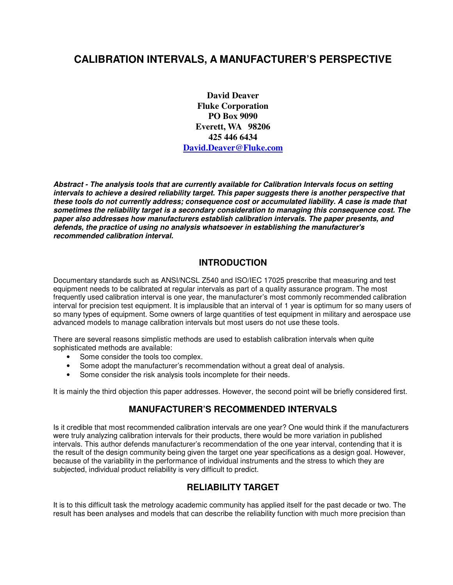# **CALIBRATION INTERVALS, A MANUFACTURER'S PERSPECTIVE**

**David Deaver Fluke Corporation PO Box 9090 Everett, WA 98206 425 446 6434 David.Deaver@Fluke.com**

**Abstract - The analysis tools that are currently available for Calibration Intervals focus on setting intervals to achieve a desired reliability target. This paper suggests there is another perspective that these tools do not currently address; consequence cost or accumulated liability. A case is made that sometimes the reliability target is a secondary consideration to managing this consequence cost. The paper also addresses how manufacturers establish calibration intervals. The paper presents, and defends, the practice of using no analysis whatsoever in establishing the manufacturer's recommended calibration interval.** 

#### **INTRODUCTION**

Documentary standards such as ANSI/NCSL Z540 and ISO/IEC 17025 prescribe that measuring and test equipment needs to be calibrated at regular intervals as part of a quality assurance program. The most frequently used calibration interval is one year, the manufacturer's most commonly recommended calibration interval for precision test equipment. It is implausible that an interval of 1 year is optimum for so many users of so many types of equipment. Some owners of large quantities of test equipment in military and aerospace use advanced models to manage calibration intervals but most users do not use these tools.

There are several reasons simplistic methods are used to establish calibration intervals when quite sophisticated methods are available:

- Some consider the tools too complex.
- Some adopt the manufacturer's recommendation without a great deal of analysis.
- Some consider the risk analysis tools incomplete for their needs.

It is mainly the third objection this paper addresses. However, the second point will be briefly considered first.

### **MANUFACTURER'S RECOMMENDED INTERVALS**

Is it credible that most recommended calibration intervals are one year? One would think if the manufacturers were truly analyzing calibration intervals for their products, there would be more variation in published intervals. This author defends manufacturer's recommendation of the one year interval, contending that it is the result of the design community being given the target one year specifications as a design goal. However, because of the variability in the performance of individual instruments and the stress to which they are subjected, individual product reliability is very difficult to predict.

### **RELIABILITY TARGET**

It is to this difficult task the metrology academic community has applied itself for the past decade or two. The result has been analyses and models that can describe the reliability function with much more precision than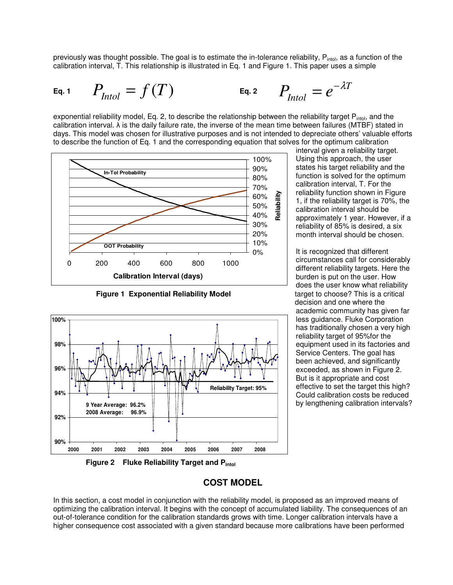previously was thought possible. The goal is to estimate the in-tolerance reliability, P<sub>intol</sub>, as a function of the calibration interval, T. This relationship is illustrated in Eq. 1 and Figure 1. This paper uses a simple

Eq. 1 
$$
P_{\text{Intol}} = f(T)
$$
 Eq. 2  $P_{\text{Intol}} = e^{-\lambda T}$ 

exponential reliability model, Eq. 2, to describe the relationship between the reliability target P<sub>intol</sub>, and the calibration interval. λ is the daily failure rate, the inverse of the mean time between failures (MTBF) stated in days. This model was chosen for illustrative purposes and is not intended to depreciate others' valuable efforts to describe the function of Eq. 1 and the corresponding equation that solves for the optimum calibration



**Figure 1 Exponential Reliability Model <b>target** to choose? This is a critical



**Figure 2 Fluke Reliability Target and Pintol**

interval given a reliability target. Using this approach, the user states his target reliability and the function is solved for the optimum calibration interval, T. For the reliability function shown in Figure 1, if the reliability target is 70%, the calibration interval should be approximately 1 year. However, if a reliability of 85% is desired, a six month interval should be chosen.

It is recognized that different circumstances call for considerably different reliability targets. Here the burden is put on the user. How does the user know what reliability decision and one where the academic community has given far less guidance. Fluke Corporation has traditionally chosen a very high reliability target of 95%for the equipment used in its factories and Service Centers. The goal has been achieved, and significantly exceeded, as shown in Figure 2. But is it appropriate and cost effective to set the target this high? Could calibration costs be reduced by lengthening calibration intervals?

### **COST MODEL**

In this section, a cost model in conjunction with the reliability model, is proposed as an improved means of optimizing the calibration interval. It begins with the concept of accumulated liability. The consequences of an out-of-tolerance condition for the calibration standards grows with time. Longer calibration intervals have a higher consequence cost associated with a given standard because more calibrations have been performed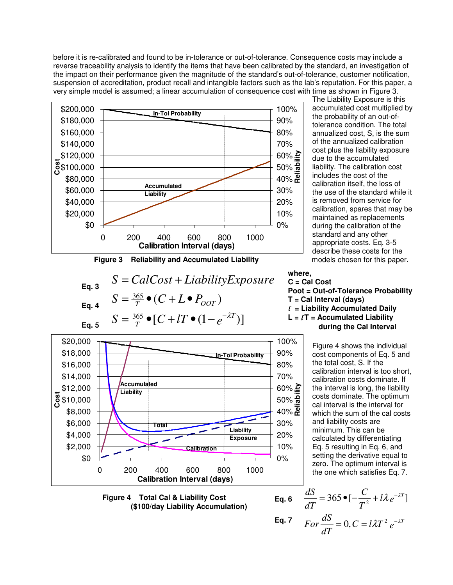before it is re-calibrated and found to be in-tolerance or out-of-tolerance. Consequence costs may include a reverse traceability analysis to identify the items that have been calibrated by the standard, an investigation of the impact on their performance given the magnitude of the standard's out-of-tolerance, customer notification, suspension of accreditation, product recall and intangible factors such as the lab's reputation. For this paper, a very simple model is assumed; a linear accumulation of consequence cost with time as shown in Figure 3.



**Figure 3 Reliability and Accumulated Liability <b>models** chosen for this paper.

$$
S = CalCost + LiabilityExpress 2000000
$$
  
\nEq. 4 
$$
S = \frac{365}{T} \cdot (C + L \cdot P_{OOT})
$$
  
\nEq. 5 
$$
S = \frac{365}{T} \cdot [C + lT \cdot (1 - e^{-\lambda T})]
$$

\$0 \$2,000 \$4,000 \$6,000 \$8,000 **g** \$10,000 \$12,000 \$14,000 \$16,000 \$18,000 \$20,000 0 200 400 600 800 1000 **Calibration Interval (days)** 0% 10% 20% 30% 60% <u>is</u><br>50% alia<br>40% <mark>R</mark>eli  $50\%$   $\frac{5}{6}$  $60\%$   $\geq$ 70% 80% 90% 100% **Calibration Liability Exposure Accumulated Liability Total In-Tol Probability**

 **Figure 4 Total Cal & Liability Cost (\$100/day Liability Accumulation)** 

The Liability Exposure is this accumulated cost multiplied by the probability of an out-oftolerance condition. The total annualized cost, S, is the sum of the annualized calibration cost plus the liability exposure due to the accumulated liability. The calibration cost includes the cost of the calibration itself, the loss of the use of the standard while it is removed from service for calibration, spares that may be maintained as replacements during the calibration of the standard and any other appropriate costs. Eq. 3-5 describe these costs for the

**where,** 

**C = Cal Cost Poot = Out-of-Tolerance Probability T = Cal Interval (days)**  l **= Liability Accumulated Daily**   $L = \ell T$  = Accumulated Liability **\_\_\_\_\_\_\_ during the Cal Interval** 

> Figure 4 shows the individual cost components of Eq. 5 and the total cost, S. If the calibration interval is too short, calibration costs dominate. If the interval is long, the liability costs dominate. The optimum cal interval is the interval for which the sum of the cal costs and liability costs are minimum. This can be calculated by differentiating Eq. 5 resulting in Eq. 6, and setting the derivative equal to zero. The optimum interval is the one which satisfies Eq. 7.

Eq. 6 
$$
\frac{dS}{dT} = 365 \bullet [-\frac{C}{T^2} + l\lambda e^{-\lambda T}]
$$
  
Eq. 7 For  $\frac{dS}{dT} = 0, C = l\lambda T^2 e^{-\lambda T}$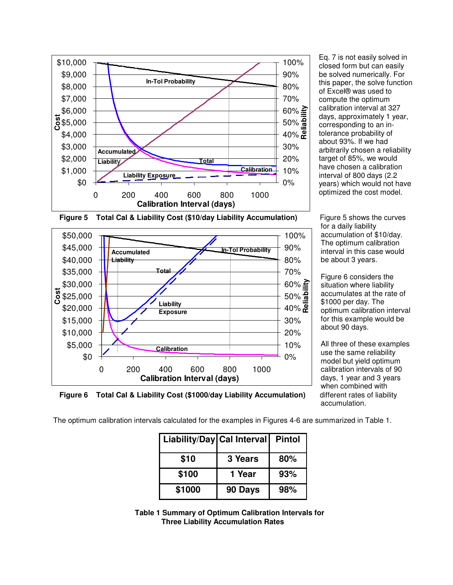

Eq. 7 is not easily solved in closed form but can easily be solved numerically. For this paper, the solve function of Excel® was used to compute the optimum calibration interval at 327 days, approximately 1 year, corresponding to an intolerance probability of about 93%. If we had arbitrarily chosen a reliability target of 85%, we would have chosen a calibration interval of 800 days (2.2 years) which would not have optimized the cost model.

for a daily liability accumulation of \$10/day. The optimum calibration interval in this case would be about 3 years.

Figure 6 considers the situation where liability accumulates at the rate of \$1000 per day. The optimum calibration interval for this example would be about 90 days.

All three of these examples use the same reliability model but yield optimum calibration intervals of 90 days, 1 year and 3 years when combined with accumulation.





**Figure 6 Total Cal & Liability Cost (\$1000/day Liability Accumulation)** different rates of liability

The optimum calibration intervals calculated for the examples in Figures 4-6 are summarized in Table 1.

| Liability/Day Cal Interval |         | <b>Pintol</b> |
|----------------------------|---------|---------------|
| \$10                       | 3 Years | 80%           |
| \$100                      | 1 Year  | 93%           |
| \$1000                     | 90 Days | 98%           |

 **Table 1 Summary of Optimum Calibration Intervals for Three Liability Accumulation Rates**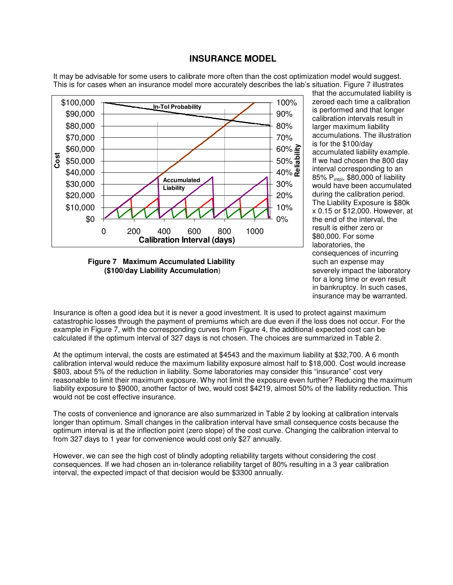#### **INSURANCE MODEL**

It may be advisable for some users to calibrate more often than the cost optimization model would suggest. This is for cases when an insurance model more accurately describes the lab's situation. Figure 7 illustrates



**Figure 7 Maximum Accumulated Liability and Senate and Senate may be such an expense may (\$100/day Liability Accumulation**) severely impact the laboratory

that the accumulated liability is zeroed each time a calibration is performed and that longer calibration intervals result in larger maximum liability accumulations. The illustration is for the \$100/day accumulated liability example. If we had chosen the 800 day interval corresponding to an 85% Pintol, \$80,000 of liability would have been accumulated during the calibration period. The Liability Exposure is \$80k x 0.15 or \$12,000. However, at the end of the interval, the result is either zero or \$80,000. For some laboratories, the consequences of incurring for a long time or even result in bankruptcy. In such cases, insurance may be warranted.

Insurance is often a good idea but it is never a good investment. It is used to protect against maximum catastrophic losses through the payment of premiums which are due even if the loss does not occur. For the example in Figure 7, with the corresponding curves from Figure 4, the additional expected cost can be calculated if the optimum interval of 327 days is not chosen. The choices are summarized in Table 2.

At the optimum interval, the costs are estimated at \$4543 and the maximum liability at \$32,700. A 6 month calibration interval would reduce the maximum liability exposure almost half to \$18,000. Cost would increase \$803, about 5% of the reduction in liability. Some laboratories may consider this "insurance" cost very reasonable to limit their maximum exposure. Why not limit the exposure even further? Reducing the maximum liability exposure to \$9000, another factor of two, would cost \$4219, almost 50% of the liability reduction. This would not be cost effective insurance.

The costs of convenience and ignorance are also summarized in Table 2 by looking at calibration intervals longer than optimum. Small changes in the calibration interval have small consequence costs because the optimum interval is at the inflection point (zero slope) of the cost curve. Changing the calibration interval to from 327 days to 1 year for convenience would cost only \$27 annually.

However, we can see the high cost of blindly adopting reliability targets without considering the cost consequences. If we had chosen an in-tolerance reliability target of 80% resulting in a 3 year calibration interval, the expected impact of that decision would be \$3300 annually.